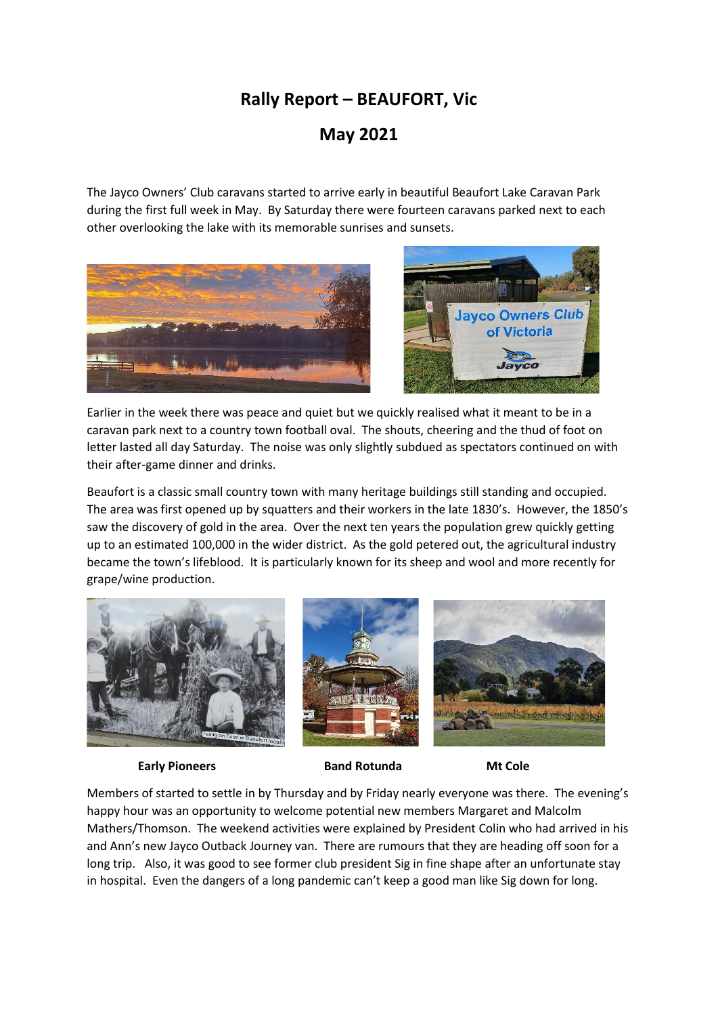## **Rally Report – BEAUFORT, Vic**

## **May 2021**

The Jayco Owners' Club caravans started to arrive early in beautiful Beaufort Lake Caravan Park during the first full week in May. By Saturday there were fourteen caravans parked next to each other overlooking the lake with its memorable sunrises and sunsets.





Earlier in the week there was peace and quiet but we quickly realised what it meant to be in a caravan park next to a country town football oval. The shouts, cheering and the thud of foot on letter lasted all day Saturday. The noise was only slightly subdued as spectators continued on with their after-game dinner and drinks.

Beaufort is a classic small country town with many heritage buildings still standing and occupied. The area was first opened up by squatters and their workers in the late 1830's. However, the 1850's saw the discovery of gold in the area. Over the next ten years the population grew quickly getting up to an estimated 100,000 in the wider district. As the gold petered out, the agricultural industry became the town's lifeblood. It is particularly known for its sheep and wool and more recently for grape/wine production.



**Early Pioneers Band Rotunda Mt Cole**

Members of started to settle in by Thursday and by Friday nearly everyone was there. The evening's happy hour was an opportunity to welcome potential new members Margaret and Malcolm Mathers/Thomson. The weekend activities were explained by President Colin who had arrived in his and Ann's new Jayco Outback Journey van. There are rumours that they are heading off soon for a long trip. Also, it was good to see former club president Sig in fine shape after an unfortunate stay in hospital. Even the dangers of a long pandemic can't keep a good man like Sig down for long.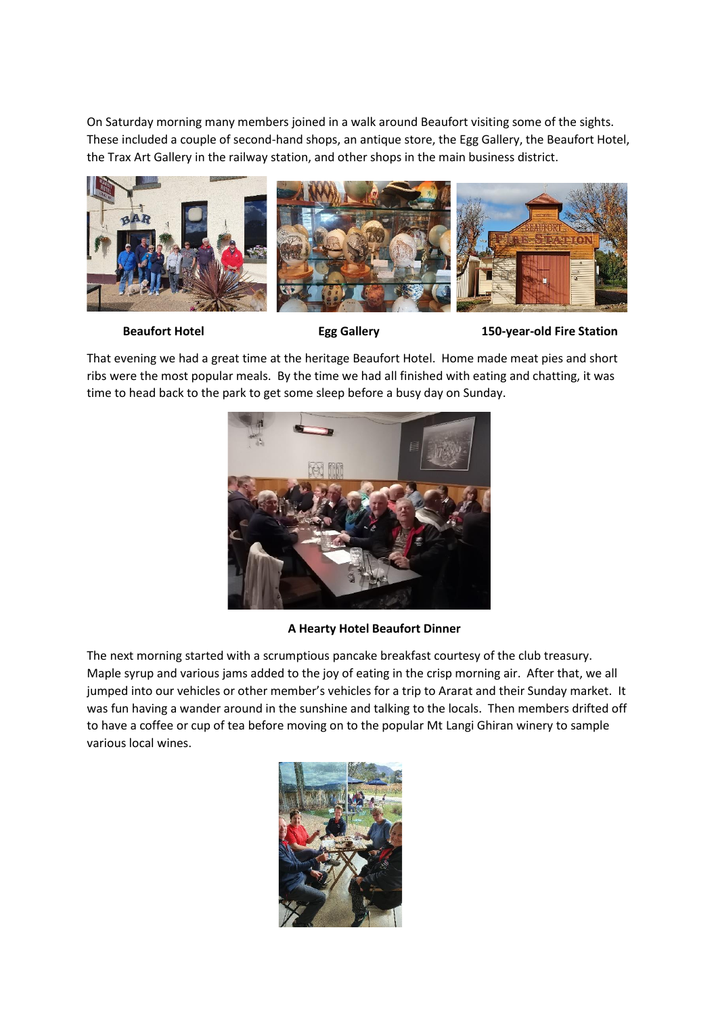On Saturday morning many members joined in a walk around Beaufort visiting some of the sights. These included a couple of second-hand shops, an antique store, the Egg Gallery, the Beaufort Hotel, the Trax Art Gallery in the railway station, and other shops in the main business district.



**Beaufort Hotel Egg Gallery 150-year-old Fire Station**

That evening we had a great time at the heritage Beaufort Hotel. Home made meat pies and short ribs were the most popular meals. By the time we had all finished with eating and chatting, it was time to head back to the park to get some sleep before a busy day on Sunday.



## **A Hearty Hotel Beaufort Dinner**

The next morning started with a scrumptious pancake breakfast courtesy of the club treasury. Maple syrup and various jams added to the joy of eating in the crisp morning air. After that, we all jumped into our vehicles or other member's vehicles for a trip to Ararat and their Sunday market. It was fun having a wander around in the sunshine and talking to the locals. Then members drifted off to have a coffee or cup of tea before moving on to the popular Mt Langi Ghiran winery to sample various local wines.